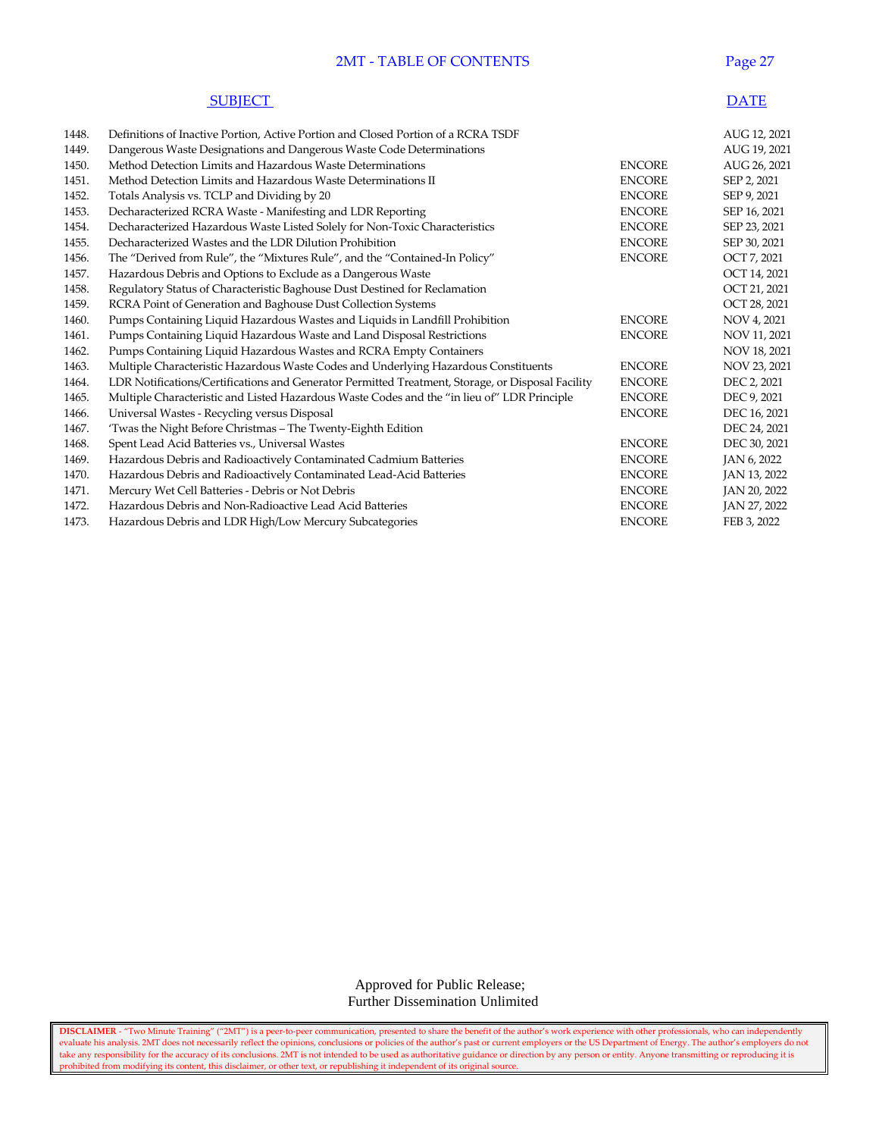# 2MT - TABLE OF CONTENTS Page 27

| <b>SUBIECT</b> | <b>DATE</b> |
|----------------|-------------|
|----------------|-------------|

| 1448. | Definitions of Inactive Portion, Active Portion and Closed Portion of a RCRA TSDF                 |               | AUG 12, 2021 |
|-------|---------------------------------------------------------------------------------------------------|---------------|--------------|
| 1449. | Dangerous Waste Designations and Dangerous Waste Code Determinations                              |               | AUG 19, 2021 |
| 1450. | Method Detection Limits and Hazardous Waste Determinations                                        | <b>ENCORE</b> | AUG 26, 2021 |
| 1451. | Method Detection Limits and Hazardous Waste Determinations II                                     | <b>ENCORE</b> | SEP 2, 2021  |
| 1452. | Totals Analysis vs. TCLP and Dividing by 20                                                       | <b>ENCORE</b> | SEP 9, 2021  |
| 1453. | Decharacterized RCRA Waste - Manifesting and LDR Reporting                                        | <b>ENCORE</b> | SEP 16, 2021 |
| 1454. | Decharacterized Hazardous Waste Listed Solely for Non-Toxic Characteristics                       | <b>ENCORE</b> | SEP 23, 2021 |
| 1455. | Decharacterized Wastes and the LDR Dilution Prohibition                                           | <b>ENCORE</b> | SEP 30, 2021 |
| 1456. | The "Derived from Rule", the "Mixtures Rule", and the "Contained-In Policy"                       | <b>ENCORE</b> | OCT 7, 2021  |
| 1457. | Hazardous Debris and Options to Exclude as a Dangerous Waste                                      |               | OCT 14, 2021 |
| 1458. | Regulatory Status of Characteristic Baghouse Dust Destined for Reclamation                        |               | OCT 21, 2021 |
| 1459. | RCRA Point of Generation and Baghouse Dust Collection Systems                                     |               | OCT 28, 2021 |
| 1460. | Pumps Containing Liquid Hazardous Wastes and Liquids in Landfill Prohibition                      | <b>ENCORE</b> | NOV 4, 2021  |
| 1461. | Pumps Containing Liquid Hazardous Waste and Land Disposal Restrictions                            | <b>ENCORE</b> | NOV 11, 2021 |
| 1462. | Pumps Containing Liquid Hazardous Wastes and RCRA Empty Containers                                |               | NOV 18, 2021 |
| 1463. | Multiple Characteristic Hazardous Waste Codes and Underlying Hazardous Constituents               | <b>ENCORE</b> | NOV 23, 2021 |
| 1464. | LDR Notifications/Certifications and Generator Permitted Treatment, Storage, or Disposal Facility | <b>ENCORE</b> | DEC 2, 2021  |
| 1465. | Multiple Characteristic and Listed Hazardous Waste Codes and the "in lieu of" LDR Principle       | <b>ENCORE</b> | DEC 9, 2021  |
| 1466. | Universal Wastes - Recycling versus Disposal                                                      | <b>ENCORE</b> | DEC 16, 2021 |
| 1467. | 'Twas the Night Before Christmas - The Twenty-Eighth Edition                                      |               | DEC 24, 2021 |
| 1468. | Spent Lead Acid Batteries vs., Universal Wastes                                                   | <b>ENCORE</b> | DEC 30, 2021 |
| 1469. | Hazardous Debris and Radioactively Contaminated Cadmium Batteries                                 | <b>ENCORE</b> | JAN 6, 2022  |
| 1470. | Hazardous Debris and Radioactively Contaminated Lead-Acid Batteries                               | <b>ENCORE</b> | JAN 13, 2022 |
| 1471. | Mercury Wet Cell Batteries - Debris or Not Debris                                                 | <b>ENCORE</b> | JAN 20, 2022 |
| 1472. | Hazardous Debris and Non-Radioactive Lead Acid Batteries                                          | <b>ENCORE</b> | JAN 27, 2022 |
| 1473. | Hazardous Debris and LDR High/Low Mercury Subcategories                                           | <b>ENCORE</b> | FEB 3, 2022  |

 Approved for Public Release; Further Dissemination Unlimited

**DISCLAIMER** - "Two Minute Training" ("2MT") is a peer-to-peer communication, presented to share the benefit of the author's work experience with other professionals, who can independently evaluate his analysis. 2MT does not necessarily reflect the opinions, conclusions or policies of the author's past or current employers or the US Department of Energy. The author's employers do not take any responsibility for the accuracy of its conclusions. 2MT is not intended to be used as authoritative guidance or direction by any person or entity. Anyone transmitting or reproducing it is prohibited from modifying its content, this disclaimer, or other text, or republishing it independent of its original source.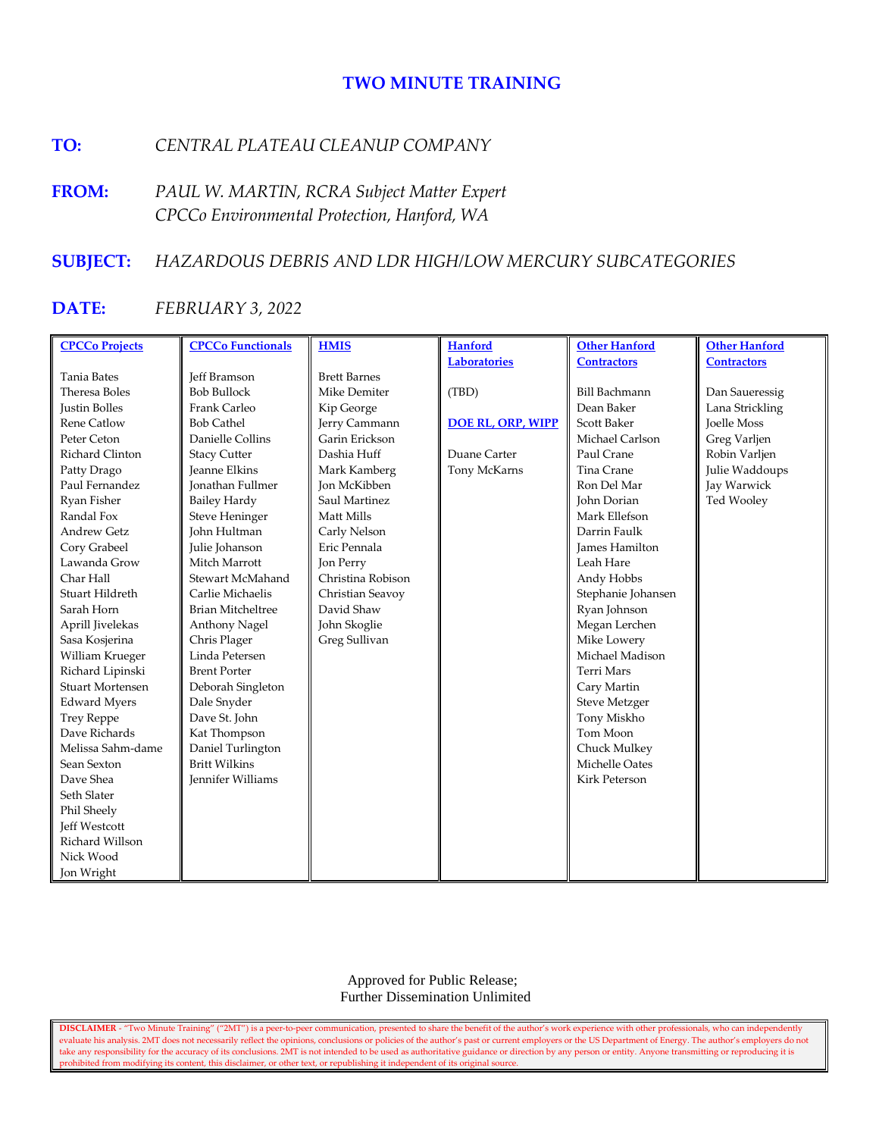# **TWO MINUTE TRAINING**

# **TO:** *CENTRAL PLATEAU CLEANUP COMPANY*

**FROM:** *PAUL W. MARTIN, RCRA Subject Matter Expert CPCCo Environmental Protection, Hanford, WA*

# **SUBJECT:** *HAZARDOUS DEBRIS AND LDR HIGH/LOW MERCURY SUBCATEGORIES*

# **DATE:** *FEBRUARY 3, 2022*

| <b>CPCCo Projects</b>   | <b>CPCCo Functionals</b> | <b>HMIS</b>         | <b>Hanford</b>           | <b>Other Hanford</b>  | <b>Other Hanford</b> |
|-------------------------|--------------------------|---------------------|--------------------------|-----------------------|----------------------|
|                         |                          |                     | <b>Laboratories</b>      | <b>Contractors</b>    | <b>Contractors</b>   |
| <b>Tania Bates</b>      | <b>Jeff Bramson</b>      | <b>Brett Barnes</b> |                          |                       |                      |
| Theresa Boles           | <b>Bob Bullock</b>       | Mike Demiter        | (TBD)                    | <b>Bill Bachmann</b>  | Dan Saueressig       |
| <b>Justin Bolles</b>    | Frank Carleo             | Kip George          |                          | Dean Baker            | Lana Strickling      |
| Rene Catlow             | <b>Bob Cathel</b>        | Jerry Cammann       | <b>DOE RL, ORP, WIPP</b> | Scott Baker           | <b>Joelle Moss</b>   |
| Peter Ceton             | Danielle Collins         | Garin Erickson      |                          | Michael Carlson       | Greg Varljen         |
| Richard Clinton         | <b>Stacy Cutter</b>      | Dashia Huff         | Duane Carter             | Paul Crane            | Robin Varljen        |
| Patty Drago             | <b>Jeanne Elkins</b>     | Mark Kamberg        | Tony McKarns             | Tina Crane            | Julie Waddoups       |
| Paul Fernandez          | <b>Ionathan Fullmer</b>  | <b>Jon McKibben</b> |                          | Ron Del Mar           | Jay Warwick          |
| Ryan Fisher             | <b>Bailey Hardy</b>      | Saul Martinez       |                          | John Dorian           | Ted Wooley           |
| Randal Fox              | <b>Steve Heninger</b>    | Matt Mills          |                          | Mark Ellefson         |                      |
| <b>Andrew Getz</b>      | <b>John Hultman</b>      | Carly Nelson        |                          | Darrin Faulk          |                      |
| Cory Grabeel            | Julie Johanson           | Eric Pennala        |                          | <b>James Hamilton</b> |                      |
| Lawanda Grow            | Mitch Marrott            | Jon Perry           |                          | Leah Hare             |                      |
| Char Hall               | Stewart McMahand         | Christina Robison   |                          | Andy Hobbs            |                      |
| Stuart Hildreth         | Carlie Michaelis         | Christian Seavoy    |                          | Stephanie Johansen    |                      |
| Sarah Horn              | <b>Brian Mitcheltree</b> | David Shaw          |                          | Ryan Johnson          |                      |
| Aprill Jivelekas        | Anthony Nagel            | John Skoglie        |                          | Megan Lerchen         |                      |
| Sasa Kosjerina          | Chris Plager             | Greg Sullivan       |                          | Mike Lowery           |                      |
| William Krueger         | Linda Petersen           |                     |                          | Michael Madison       |                      |
| Richard Lipinski        | <b>Brent Porter</b>      |                     |                          | <b>Terri Mars</b>     |                      |
| <b>Stuart Mortensen</b> | Deborah Singleton        |                     |                          | Cary Martin           |                      |
| <b>Edward Myers</b>     | Dale Snyder              |                     |                          | <b>Steve Metzger</b>  |                      |
| <b>Trey Reppe</b>       | Dave St. John            |                     |                          | Tony Miskho           |                      |
| Dave Richards           | Kat Thompson             |                     |                          | Tom Moon              |                      |
| Melissa Sahm-dame       | Daniel Turlington        |                     |                          | Chuck Mulkey          |                      |
| Sean Sexton             | <b>Britt Wilkins</b>     |                     |                          | Michelle Oates        |                      |
| Dave Shea               | Jennifer Williams        |                     |                          | <b>Kirk Peterson</b>  |                      |
| Seth Slater             |                          |                     |                          |                       |                      |
| Phil Sheely             |                          |                     |                          |                       |                      |
| <b>Jeff Westcott</b>    |                          |                     |                          |                       |                      |
| Richard Willson         |                          |                     |                          |                       |                      |
| Nick Wood               |                          |                     |                          |                       |                      |
| Jon Wright              |                          |                     |                          |                       |                      |

 Approved for Public Release; Further Dissemination Unlimited

**DISCLAIMER** - "Two Minute Training" ("2MT") is a peer-to-peer communication, presented to share the benefit of the author's work experience with other professionals, who can independently evaluate his analysis. 2MT does not necessarily reflect the opinions, conclusions or policies of the author's past or current employers or the US Department of Energy. The author's employers do not take any responsibility for the accuracy of its conclusions. 2MT is not intended to be used as authoritative guidance or direction by any person or entity. Anyone transmitting or reproducing it is prohibited from modifying its content, this disclaimer, or other text, or republishing it independent of its original source.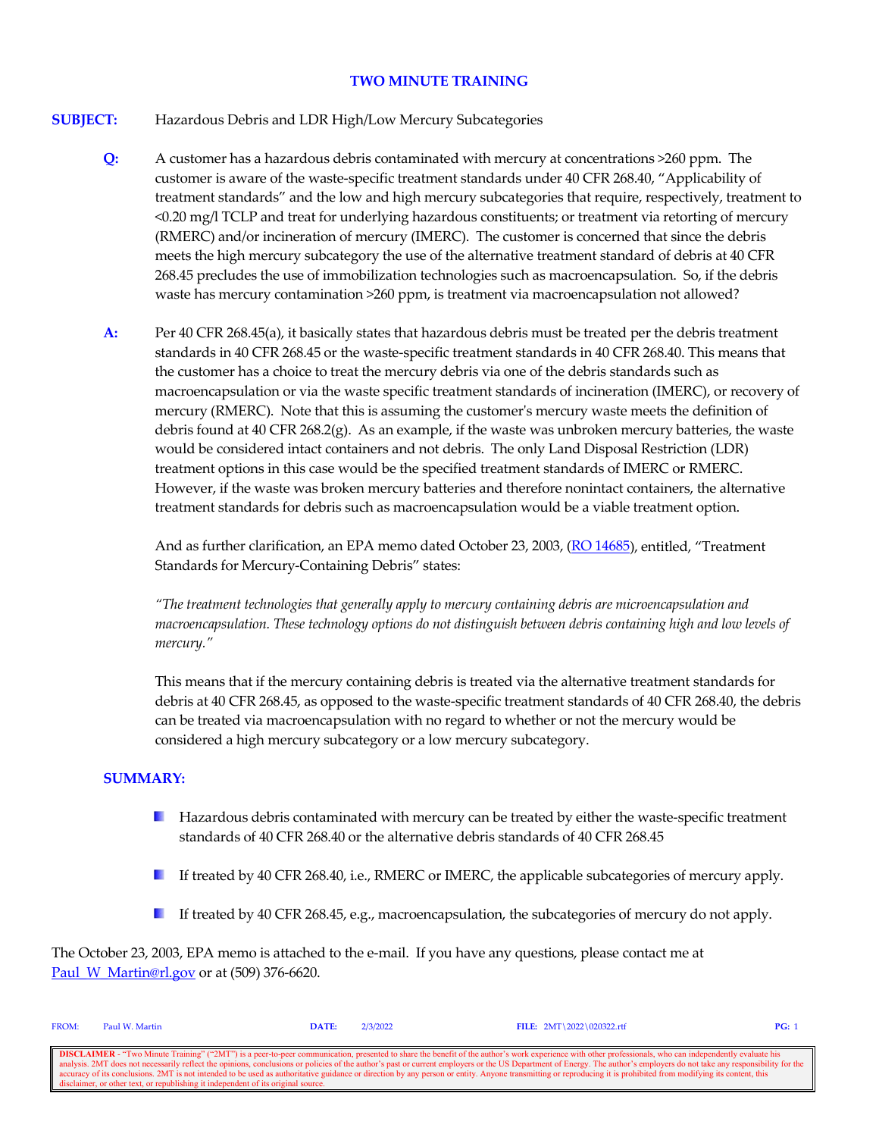# **TWO MINUTE TRAINING**

# **SUBJECT:** Hazardous Debris and LDR High/Low Mercury Subcategories

- **Q:** A customer has a hazardous debris contaminated with mercury at concentrations >260 ppm. The customer is aware of the waste-specific treatment standards under 40 CFR 268.40, "Applicability of treatment standards" and the low and high mercury subcategories that require, respectively, treatment to <0.20 mg/l TCLP and treat for underlying hazardous constituents; or treatment via retorting of mercury (RMERC) and/or incineration of mercury (IMERC). The customer is concerned that since the debris meets the high mercury subcategory the use of the alternative treatment standard of debris at 40 CFR 268.45 precludes the use of immobilization technologies such as macroencapsulation. So, if the debris waste has mercury contamination >260 ppm, is treatment via macroencapsulation not allowed?
- **A:** Per 40 CFR 268.45(a), it basically states that hazardous debris must be treated per the debris treatment standards in 40 CFR 268.45 or the waste-specific treatment standards in 40 CFR 268.40. This means that the customer has a choice to treat the mercury debris via one of the debris standards such as macroencapsulation or via the waste specific treatment standards of incineration (IMERC), or recovery of mercury (RMERC). Note that this is assuming the customer's mercury waste meets the definition of debris found at 40 CFR 268.2(g). As an example, if the waste was unbroken mercury batteries, the waste would be considered intact containers and not debris. The only Land Disposal Restriction (LDR) treatment options in this case would be the specified treatment standards of IMERC or RMERC. However, if the waste was broken mercury batteries and therefore nonintact containers, the alternative treatment standards for debris such as macroencapsulation would be a viable treatment option.

And as further clarification, an EPA memo dated October 23, 2003, [\(RO 14685\)](https://rcrapublic.epa.gov/rcraonline/details.xhtml?rcra=14685), entitled, "Treatment Standards for Mercury-Containing Debris" states:

*"The treatment technologies that generally apply to mercury containing debris are microencapsulation and macroencapsulation. These technology options do not distinguish between debris containing high and low levels of mercury."*

This means that if the mercury containing debris is treated via the alternative treatment standards for debris at 40 CFR 268.45, as opposed to the waste-specific treatment standards of 40 CFR 268.40, the debris can be treated via macroencapsulation with no regard to whether or not the mercury would be considered a high mercury subcategory or a low mercury subcategory.

## **SUMMARY:**

- **Hazardous debris contaminated with mercury can be treated by either the waste-specific treatment** standards of 40 CFR 268.40 or the alternative debris standards of 40 CFR 268.45
- If treated by 40 CFR 268.40, i.e., RMERC or IMERC, the applicable subcategories of mercury apply.
- If treated by 40 CFR 268.45, e.g., macroencapsulation, the subcategories of mercury do not apply.

The October 23, 2003, EPA memo is attached to the e-mail. If you have any questions, please contact me at Paul W Martin@rl.gov or at (509) 376-6620.

| <b>FROM:</b>                                                                                                                                                                                                             | Paul W. Martin                                                                    | <b>DATE:</b> | 2/3/2022 | FILE: $2MT \ 2022 \ 020322.rtf$ | PG: |
|--------------------------------------------------------------------------------------------------------------------------------------------------------------------------------------------------------------------------|-----------------------------------------------------------------------------------|--------------|----------|---------------------------------|-----|
|                                                                                                                                                                                                                          |                                                                                   |              |          |                                 |     |
| <b>DISCLAIMER</b> - "Two Minute Training" ("2MT") is a peer-to-peer communication, presented to share the benefit of the author's work experience with other professionals, who can independently evaluate his           |                                                                                   |              |          |                                 |     |
| analysis. 2MT does not necessarily reflect the opinions, conclusions or policies of the author's past or current employers or the US Department of Energy. The author's employers do not take any responsibility for the |                                                                                   |              |          |                                 |     |
| accuracy of its conclusions. 2MT is not intended to be used as authoritative guidance or direction by any person or entity. Anyone transmitting or reproducing it is prohibited from modifying its content, this         |                                                                                   |              |          |                                 |     |
|                                                                                                                                                                                                                          | disclaimer, or other text, or republishing it independent of its original source. |              |          |                                 |     |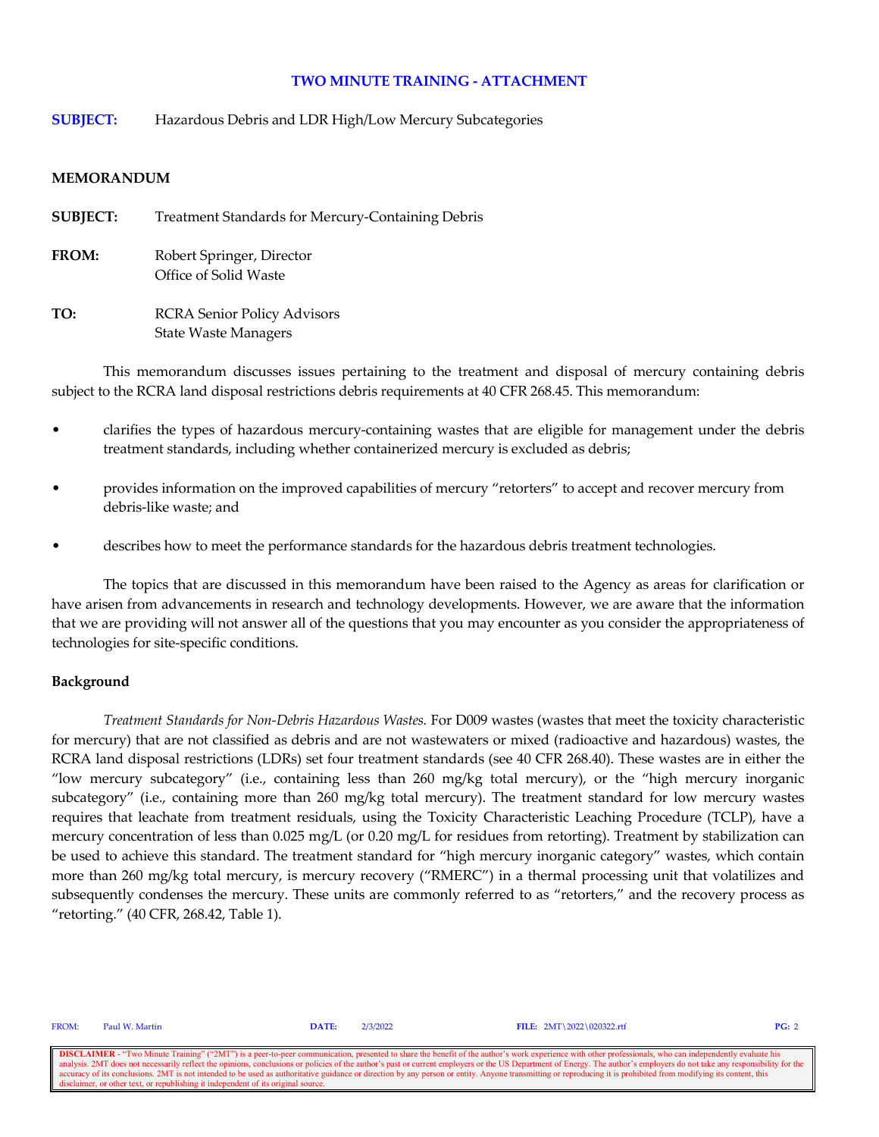**SUBJECT:** Hazardous Debris and LDR High/Low Mercury Subcategories

#### **MEMORANDUM**

**SUBJECT:** Treatment Standards for Mercury-Containing Debris **FROM:** Robert Springer, Director Office of Solid Waste **TO:** RCRA Senior Policy Advisors State Waste Managers

This memorandum discusses issues pertaining to the treatment and disposal of mercury containing debris subject to the RCRA land disposal restrictions debris requirements at 40 CFR 268.45. This memorandum:

- clarifies the types of hazardous mercury-containing wastes that are eligible for management under the debris treatment standards, including whether containerized mercury is excluded as debris;
- provides information on the improved capabilities of mercury "retorters" to accept and recover mercury from debris-like waste; and
- describes how to meet the performance standards for the hazardous debris treatment technologies.

The topics that are discussed in this memorandum have been raised to the Agency as areas for clarification or have arisen from advancements in research and technology developments. However, we are aware that the information that we are providing will not answer all of the questions that you may encounter as you consider the appropriateness of technologies for site-specific conditions.

## **Background**

*Treatment Standards for Non-Debris Hazardous Wastes.* For D009 wastes (wastes that meet the toxicity characteristic for mercury) that are not classified as debris and are not wastewaters or mixed (radioactive and hazardous) wastes, the RCRA land disposal restrictions (LDRs) set four treatment standards (see 40 CFR 268.40). These wastes are in either the "low mercury subcategory" (i.e., containing less than 260 mg/kg total mercury), or the "high mercury inorganic subcategory" (i.e., containing more than 260 mg/kg total mercury). The treatment standard for low mercury wastes requires that leachate from treatment residuals, using the Toxicity Characteristic Leaching Procedure (TCLP), have a mercury concentration of less than 0.025 mg/L (or 0.20 mg/L for residues from retorting). Treatment by stabilization can be used to achieve this standard. The treatment standard for "high mercury inorganic category" wastes, which contain more than 260 mg/kg total mercury, is mercury recovery ("RMERC") in a thermal processing unit that volatilizes and subsequently condenses the mercury. These units are commonly referred to as "retorters," and the recovery process as "retorting." (40 CFR, 268.42, Table 1).

FROM: Paul W. Martin **DATE:** 2/3/2022 **FILE:** 2MT\2022\020322.rtf **PG:** 2

**DISCLAIMER** - "Two Minute Training" ("2MT") is a peer-to-peer communication, presented to share the benefit of the author's work experience with other professionals, who can independently evaluate his analysis. 2MT does n onclusions or policies of the author's past or current employers or the US Department of Energy. The author's employers do not take any resp accuracy of its conclusions. 2MT is not intended to be used as authoritative guidance or direction by any person or entity. Anyone transmitting or reproducing it is prohibited from modifying its content, this disclaimer, o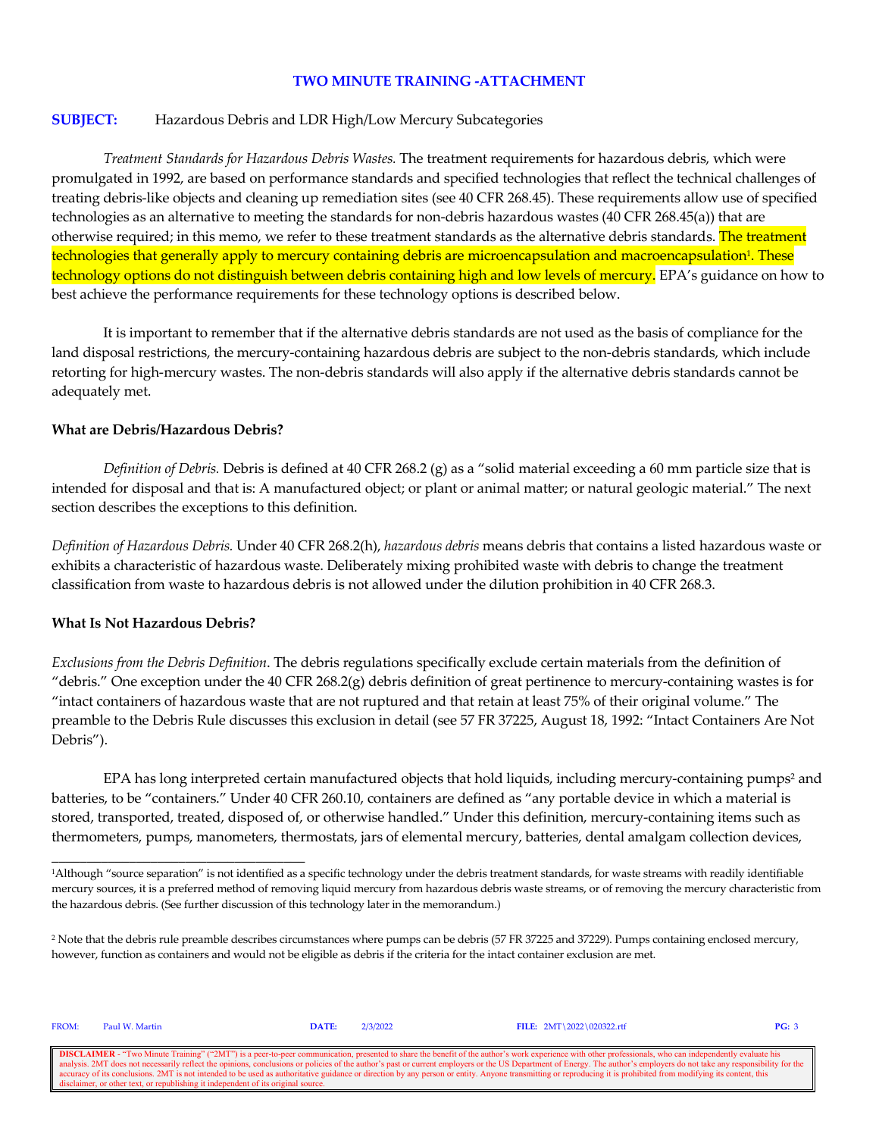#### **SUBJECT:** Hazardous Debris and LDR High/Low Mercury Subcategories

*Treatment Standards for Hazardous Debris Wastes.* The treatment requirements for hazardous debris, which were promulgated in 1992, are based on performance standards and specified technologies that reflect the technical challenges of treating debris-like objects and cleaning up remediation sites (see 40 CFR 268.45). These requirements allow use of specified technologies as an alternative to meeting the standards for non-debris hazardous wastes (40 CFR 268.45(a)) that are otherwise required; in this memo, we refer to these treatment standards as the alternative debris standards. The treatment technologies that generally apply to mercury containing debris are microencapsulation and macroencapsulation<sup>1</sup>. These technology options do not distinguish between debris containing high and low levels of mercury. EPA's guidance on how to best achieve the performance requirements for these technology options is described below.

It is important to remember that if the alternative debris standards are not used as the basis of compliance for the land disposal restrictions, the mercury-containing hazardous debris are subject to the non-debris standards, which include retorting for high-mercury wastes. The non-debris standards will also apply if the alternative debris standards cannot be adequately met.

#### **What are Debris/Hazardous Debris?**

*Definition of Debris.* Debris is defined at 40 CFR 268.2 (g) as a "solid material exceeding a 60 mm particle size that is intended for disposal and that is: A manufactured object; or plant or animal matter; or natural geologic material." The next section describes the exceptions to this definition.

*Definition of Hazardous Debris.* Under 40 CFR 268.2(h), *hazardous debris* means debris that contains a listed hazardous waste or exhibits a characteristic of hazardous waste. Deliberately mixing prohibited waste with debris to change the treatment classification from waste to hazardous debris is not allowed under the dilution prohibition in 40 CFR 268.3.

#### **What Is Not Hazardous Debris?**

\_\_\_\_\_\_\_\_\_\_\_\_\_\_\_\_\_\_\_\_\_\_\_\_\_\_\_\_\_\_\_\_\_\_\_\_

*Exclusions from the Debris Definition*. The debris regulations specifically exclude certain materials from the definition of "debris." One exception under the 40 CFR 268.2(g) debris definition of great pertinence to mercury-containing wastes is for "intact containers of hazardous waste that are not ruptured and that retain at least 75% of their original volume." The preamble to the Debris Rule discusses this exclusion in detail (see 57 FR 37225, August 18, 1992: "Intact Containers Are Not Debris").

EPA has long interpreted certain manufactured objects that hold liquids, including mercury-containing pumps<sup>2</sup> and batteries, to be "containers." Under 40 CFR 260.10, containers are defined as "any portable device in which a material is stored, transported, treated, disposed of, or otherwise handled." Under this definition, mercury-containing items such as thermometers, pumps, manometers, thermostats, jars of elemental mercury, batteries, dental amalgam collection devices,

| <b>FROM:</b>                                                                                                                                                                                                   | Paul W. Martin | <b>DATE:</b> | 7/3/2022 | FILE: $2MT \ 2022 \ 020322. rff$ |  |
|----------------------------------------------------------------------------------------------------------------------------------------------------------------------------------------------------------------|----------------|--------------|----------|----------------------------------|--|
|                                                                                                                                                                                                                |                |              |          |                                  |  |
| <b>DISCLAIMER</b> - "Two Minute Training" ("2MT") is a peer-to-peer communication, presented to share the benefit of the author's work experience with other professionals, who can independently evaluate his |                |              |          |                                  |  |

**DISCLAIMER** - "Two Minute Training" ("2MT") is a peer-to-peer communication, presented to share the benefit of the author's work experience with other professionals, who can independently evaluate his analysis. 2MT does n accuracy of its conclusions. 2MT is not intended to be used as authoritative guidance or direction by any person or entity. Anyone transmitting or reproducing it is prohibited from modifying its content, this disclaimer, o

<sup>1</sup>Although "source separation" is not identified as a specific technology under the debris treatment standards, for waste streams with readily identifiable mercury sources, it is a preferred method of removing liquid mercury from hazardous debris waste streams, or of removing the mercury characteristic from the hazardous debris. (See further discussion of this technology later in the memorandum.)

<sup>2</sup> Note that the debris rule preamble describes circumstances where pumps can be debris (57 FR 37225 and 37229). Pumps containing enclosed mercury, however, function as containers and would not be eligible as debris if the criteria for the intact container exclusion are met.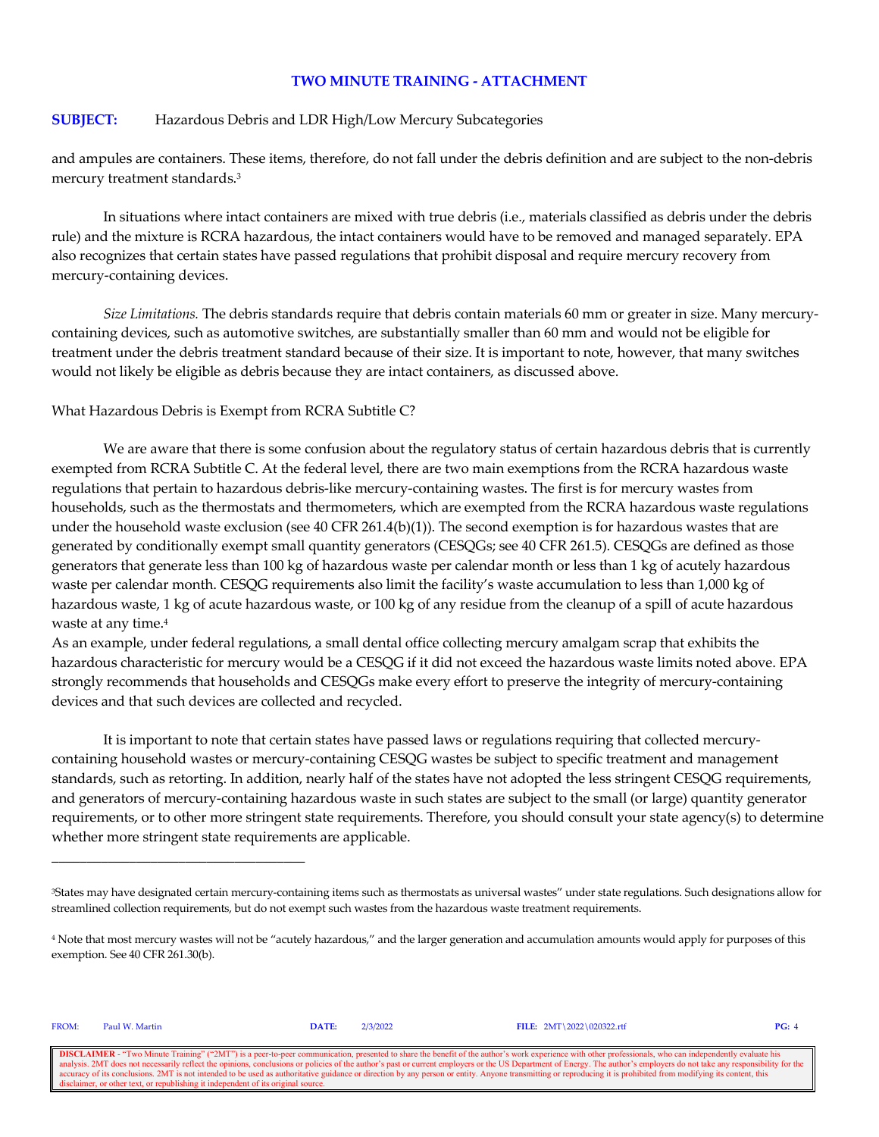#### **SUBJECT:** Hazardous Debris and LDR High/Low Mercury Subcategories

and ampules are containers. These items, therefore, do not fall under the debris definition and are subject to the non-debris mercury treatment standards.3

In situations where intact containers are mixed with true debris (i.e., materials classified as debris under the debris rule) and the mixture is RCRA hazardous, the intact containers would have to be removed and managed separately. EPA also recognizes that certain states have passed regulations that prohibit disposal and require mercury recovery from mercury-containing devices.

*Size Limitations.* The debris standards require that debris contain materials 60 mm or greater in size. Many mercurycontaining devices, such as automotive switches, are substantially smaller than 60 mm and would not be eligible for treatment under the debris treatment standard because of their size. It is important to note, however, that many switches would not likely be eligible as debris because they are intact containers, as discussed above.

What Hazardous Debris is Exempt from RCRA Subtitle C?

We are aware that there is some confusion about the regulatory status of certain hazardous debris that is currently exempted from RCRA Subtitle C. At the federal level, there are two main exemptions from the RCRA hazardous waste regulations that pertain to hazardous debris-like mercury-containing wastes. The first is for mercury wastes from households, such as the thermostats and thermometers, which are exempted from the RCRA hazardous waste regulations under the household waste exclusion (see 40 CFR 261.4(b)(1)). The second exemption is for hazardous wastes that are generated by conditionally exempt small quantity generators (CESQGs; see 40 CFR 261.5). CESQGs are defined as those generators that generate less than 100 kg of hazardous waste per calendar month or less than 1 kg of acutely hazardous waste per calendar month. CESQG requirements also limit the facility's waste accumulation to less than 1,000 kg of hazardous waste, 1 kg of acute hazardous waste, or 100 kg of any residue from the cleanup of a spill of acute hazardous waste at any time.4

As an example, under federal regulations, a small dental office collecting mercury amalgam scrap that exhibits the hazardous characteristic for mercury would be a CESQG if it did not exceed the hazardous waste limits noted above. EPA strongly recommends that households and CESQGs make every effort to preserve the integrity of mercury-containing devices and that such devices are collected and recycled.

It is important to note that certain states have passed laws or regulations requiring that collected mercurycontaining household wastes or mercury-containing CESQG wastes be subject to specific treatment and management standards, such as retorting. In addition, nearly half of the states have not adopted the less stringent CESQG requirements, and generators of mercury-containing hazardous waste in such states are subject to the small (or large) quantity generator requirements, or to other more stringent state requirements. Therefore, you should consult your state agency(s) to determine whether more stringent state requirements are applicable.

FROM: Paul W. Martin **DATE:** 2/3/2022 **FILE:** 2MT\2022\020322.rtf **PG:** 4

\_\_\_\_\_\_\_\_\_\_\_\_\_\_\_\_\_\_\_\_\_\_\_\_\_\_\_\_\_\_\_\_\_\_\_\_

**DISCLAIMER** - "Two Minute Training" ("2MT") is a peer-to-peer communication, presented to share the benefit of the author's work experience with other professionals, who can independently evaluate his analysis. 2MT does n onclusions or policies of the author's past or current employers or the US Department of Energy. The author's employers do not take any resp accuracy of its conclusions. 2MT is not intended to be used as authoritative guidance or direction by any person or entity. Anyone transmitting or reproducing it is prohibited from modifying its content, this disclaimer, o

<sup>3</sup>States may have designated certain mercury-containing items such as thermostats as universal wastes" under state regulations. Such designations allow for streamlined collection requirements, but do not exempt such wastes from the hazardous waste treatment requirements.

<sup>4</sup> Note that most mercury wastes will not be "acutely hazardous," and the larger generation and accumulation amounts would apply for purposes of this exemption. See 40 CFR 261.30(b).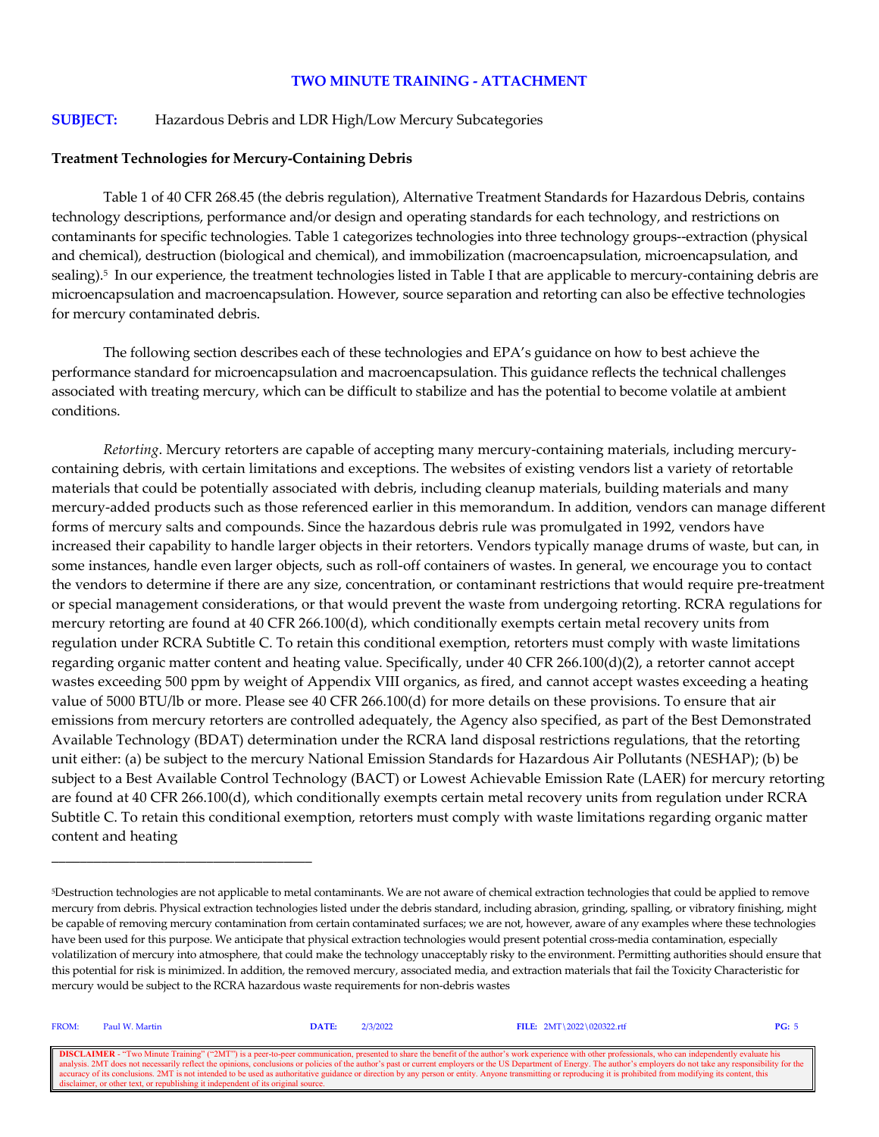## **SUBJECT:** Hazardous Debris and LDR High/Low Mercury Subcategories

#### **Treatment Technologies for Mercury-Containing Debris**

\_\_\_\_\_\_\_\_\_\_\_\_\_\_\_\_\_\_\_\_\_\_\_\_\_\_\_\_\_\_\_\_\_\_\_\_\_

Table 1 of 40 CFR 268.45 (the debris regulation), Alternative Treatment Standards for Hazardous Debris, contains technology descriptions, performance and/or design and operating standards for each technology, and restrictions on contaminants for specific technologies. Table 1 categorizes technologies into three technology groups--extraction (physical and chemical), destruction (biological and chemical), and immobilization (macroencapsulation, microencapsulation, and sealing).<sup>5</sup> In our experience, the treatment technologies listed in Table I that are applicable to mercury-containing debris are microencapsulation and macroencapsulation. However, source separation and retorting can also be effective technologies for mercury contaminated debris.

The following section describes each of these technologies and EPA's guidance on how to best achieve the performance standard for microencapsulation and macroencapsulation. This guidance reflects the technical challenges associated with treating mercury, which can be difficult to stabilize and has the potential to become volatile at ambient conditions.

*Retorting*. Mercury retorters are capable of accepting many mercury-containing materials, including mercurycontaining debris, with certain limitations and exceptions. The websites of existing vendors list a variety of retortable materials that could be potentially associated with debris, including cleanup materials, building materials and many mercury-added products such as those referenced earlier in this memorandum. In addition, vendors can manage different forms of mercury salts and compounds. Since the hazardous debris rule was promulgated in 1992, vendors have increased their capability to handle larger objects in their retorters. Vendors typically manage drums of waste, but can, in some instances, handle even larger objects, such as roll-off containers of wastes. In general, we encourage you to contact the vendors to determine if there are any size, concentration, or contaminant restrictions that would require pre-treatment or special management considerations, or that would prevent the waste from undergoing retorting. RCRA regulations for mercury retorting are found at 40 CFR 266.100(d), which conditionally exempts certain metal recovery units from regulation under RCRA Subtitle C. To retain this conditional exemption, retorters must comply with waste limitations regarding organic matter content and heating value. Specifically, under 40 CFR 266.100(d)(2), a retorter cannot accept wastes exceeding 500 ppm by weight of Appendix VIII organics, as fired, and cannot accept wastes exceeding a heating value of 5000 BTU/lb or more. Please see 40 CFR 266.100(d) for more details on these provisions. To ensure that air emissions from mercury retorters are controlled adequately, the Agency also specified, as part of the Best Demonstrated Available Technology (BDAT) determination under the RCRA land disposal restrictions regulations, that the retorting unit either: (a) be subject to the mercury National Emission Standards for Hazardous Air Pollutants (NESHAP); (b) be subject to a Best Available Control Technology (BACT) or Lowest Achievable Emission Rate (LAER) for mercury retorting are found at 40 CFR 266.100(d), which conditionally exempts certain metal recovery units from regulation under RCRA Subtitle C. To retain this conditional exemption, retorters must comply with waste limitations regarding organic matter content and heating

<sup>5</sup>Destruction technologies are not applicable to metal contaminants. We are not aware of chemical extraction technologies that could be applied to remove mercury from debris. Physical extraction technologies listed under the debris standard, including abrasion, grinding, spalling, or vibratory finishing, might be capable of removing mercury contamination from certain contaminated surfaces; we are not, however, aware of any examples where these technologies have been used for this purpose. We anticipate that physical extraction technologies would present potential cross-media contamination, especially volatilization of mercury into atmosphere, that could make the technology unacceptably risky to the environment. Permitting authorities should ensure that this potential for risk is minimized. In addition, the removed mercury, associated media, and extraction materials that fail the Toxicity Characteristic for mercury would be subject to the RCRA hazardous waste requirements for non-debris wastes

| FROM: | Paul W. Martin                                                                    | <b>DATE:</b> | 2/3/2022 | FILE: $2MT \ 2022 \ 020322.rtf$                                                                                                                                                                                                                                                                                                                                                                                                                                                                                                                                                                                                                               | PG: 5 |
|-------|-----------------------------------------------------------------------------------|--------------|----------|---------------------------------------------------------------------------------------------------------------------------------------------------------------------------------------------------------------------------------------------------------------------------------------------------------------------------------------------------------------------------------------------------------------------------------------------------------------------------------------------------------------------------------------------------------------------------------------------------------------------------------------------------------------|-------|
|       |                                                                                   |              |          | <b>DISCLAIMER</b> - "Two Minute Training" ("2MT") is a peer-to-peer communication, presented to share the benefit of the author's work experience with other professionals, who can independently evaluate his<br>analysis. 2MT does not necessarily reflect the opinions, conclusions or policies of the author's past or current employers or the US Department of Energy. The author's employers do not take any responsibility for the<br>ccuracy of its conclusions. 2MT is not intended to be used as authoritative guidance or direction by any person or entity. Anyone transmitting or reproducing it is prohibited from modifying its content, this |       |
|       | disclaimer, or other text, or republishing it independent of its original source. |              |          |                                                                                                                                                                                                                                                                                                                                                                                                                                                                                                                                                                                                                                                               |       |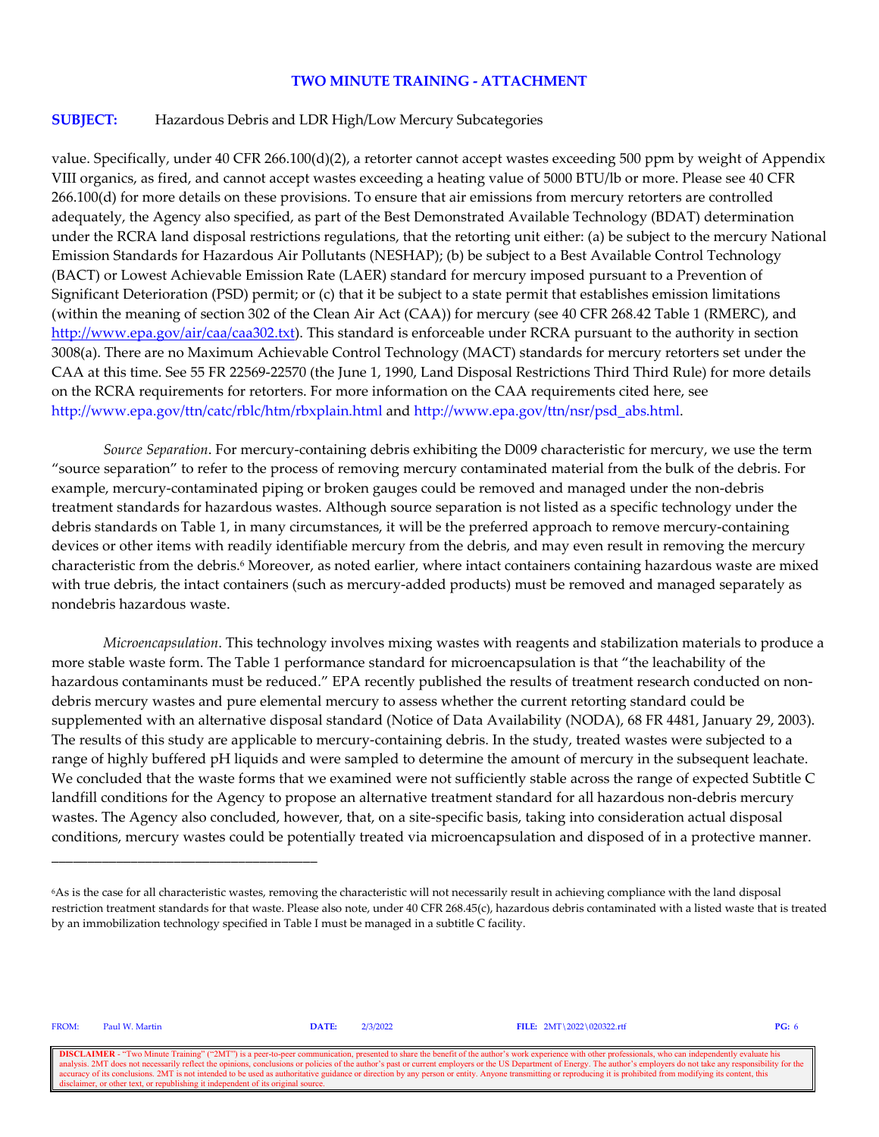#### **SUBJECT:** Hazardous Debris and LDR High/Low Mercury Subcategories

value. Specifically, under 40 CFR 266.100(d)(2), a retorter cannot accept wastes exceeding 500 ppm by weight of Appendix VIII organics, as fired, and cannot accept wastes exceeding a heating value of 5000 BTU/lb or more. Please see 40 CFR 266.100(d) for more details on these provisions. To ensure that air emissions from mercury retorters are controlled adequately, the Agency also specified, as part of the Best Demonstrated Available Technology (BDAT) determination under the RCRA land disposal restrictions regulations, that the retorting unit either: (a) be subject to the mercury National Emission Standards for Hazardous Air Pollutants (NESHAP); (b) be subject to a Best Available Control Technology (BACT) or Lowest Achievable Emission Rate (LAER) standard for mercury imposed pursuant to a Prevention of Significant Deterioration (PSD) permit; or (c) that it be subject to a state permit that establishes emission limitations (within the meaning of section 302 of the Clean Air Act (CAA)) for mercury (see 40 CFR 268.42 Table 1 (RMERC), and [http://www.epa.gov/air/caa/caa302.txt\)](http://www.epa.gov/air/caa/caa302.txt). This standard is enforceable under RCRA pursuant to the authority in section 3008(a). There are no Maximum Achievable Control Technology (MACT) standards for mercury retorters set under the CAA at this time. See 55 FR 22569-22570 (the June 1, 1990, Land Disposal Restrictions Third Third Rule) for more details on the RCRA requirements for retorters. For more information on the CAA requirements cited here, see http://www.epa.gov/ttn/catc/rblc/htm/rbxplain.html and http://www.epa.gov/ttn/nsr/psd\_abs.html.

*Source Separation*. For mercury-containing debris exhibiting the D009 characteristic for mercury, we use the term "source separation" to refer to the process of removing mercury contaminated material from the bulk of the debris. For example, mercury-contaminated piping or broken gauges could be removed and managed under the non-debris treatment standards for hazardous wastes. Although source separation is not listed as a specific technology under the debris standards on Table 1, in many circumstances, it will be the preferred approach to remove mercury-containing devices or other items with readily identifiable mercury from the debris, and may even result in removing the mercury characteristic from the debris.6 Moreover, as noted earlier, where intact containers containing hazardous waste are mixed with true debris, the intact containers (such as mercury-added products) must be removed and managed separately as nondebris hazardous waste.

*Microencapsulation*. This technology involves mixing wastes with reagents and stabilization materials to produce a more stable waste form. The Table 1 performance standard for microencapsulation is that "the leachability of the hazardous contaminants must be reduced." EPA recently published the results of treatment research conducted on nondebris mercury wastes and pure elemental mercury to assess whether the current retorting standard could be supplemented with an alternative disposal standard (Notice of Data Availability (NODA), 68 FR 4481, January 29, 2003). The results of this study are applicable to mercury-containing debris. In the study, treated wastes were subjected to a range of highly buffered pH liquids and were sampled to determine the amount of mercury in the subsequent leachate. We concluded that the waste forms that we examined were not sufficiently stable across the range of expected Subtitle C landfill conditions for the Agency to propose an alternative treatment standard for all hazardous non-debris mercury wastes. The Agency also concluded, however, that, on a site-specific basis, taking into consideration actual disposal conditions, mercury wastes could be potentially treated via microencapsulation and disposed of in a protective manner.

FROM: Paul W. Martin **DATE:** 2/3/2022 **FILE:** 2MT\2022\020322.rtf **PG:** 6

\_\_\_\_\_\_\_\_\_\_\_\_\_\_\_\_\_\_\_\_\_\_\_\_\_\_\_\_\_\_\_\_\_\_\_\_\_

**DISCLAIMER** - "Two Minute Training" ("2MT") is a peer-to-peer communication, presented to share the benefit of the author's work experience with other professionals, who can independently evaluate his analysis. 2MT does n conclusions or policies of the author's past or current employers or the US Department of Energy. The author's employers do not take any responsibility for the US Department of Energy. The author's employers do not take an accuracy of its conclusions. 2MT is not intended to be used as authoritative guidance or direction by any person or entity. Anyone transmitting or reproducing it is prohibited from modifying its content, this disclaimer, o

<sup>6</sup>As is the case for all characteristic wastes, removing the characteristic will not necessarily result in achieving compliance with the land disposal restriction treatment standards for that waste. Please also note, under 40 CFR 268.45(c), hazardous debris contaminated with a listed waste that is treated by an immobilization technology specified in Table I must be managed in a subtitle C facility.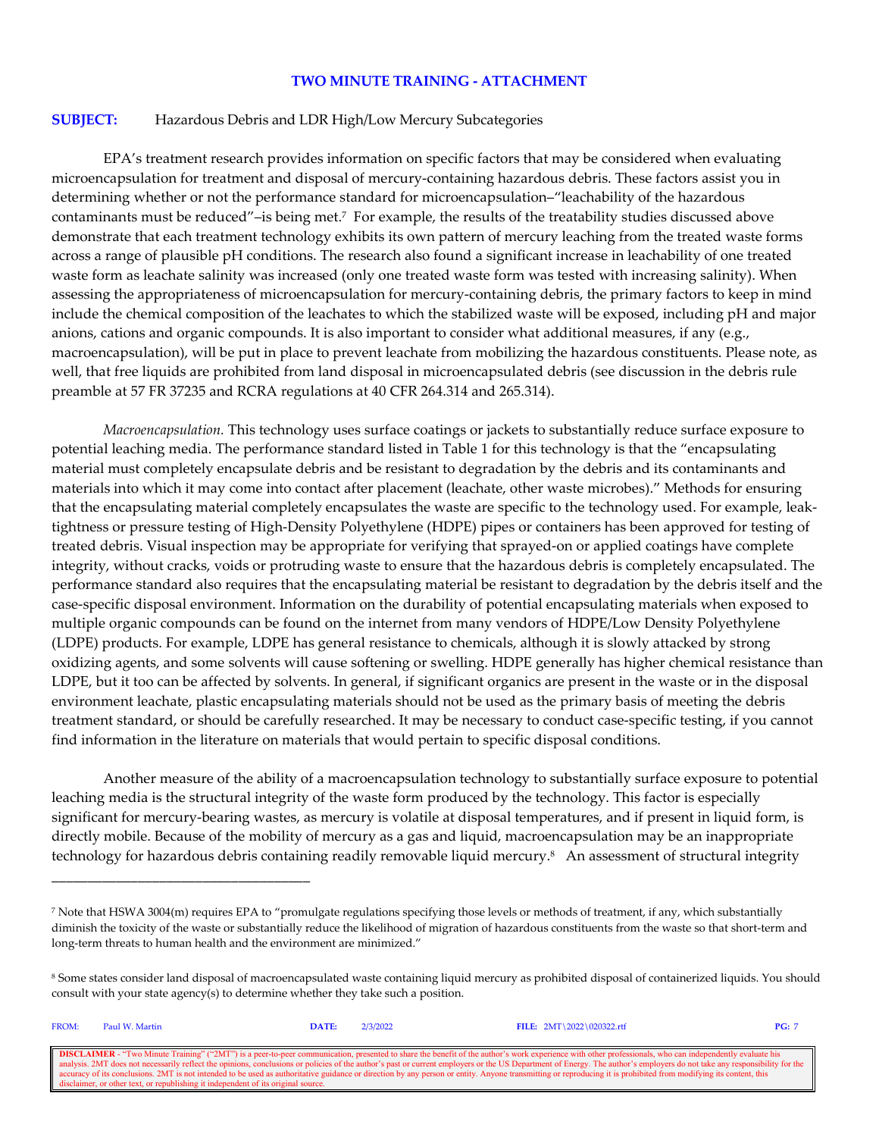#### **SUBJECT:** Hazardous Debris and LDR High/Low Mercury Subcategories

EPA's treatment research provides information on specific factors that may be considered when evaluating microencapsulation for treatment and disposal of mercury-containing hazardous debris. These factors assist you in determining whether or not the performance standard for microencapsulation–"leachability of the hazardous contaminants must be reduced"–is being met.7 For example, the results of the treatability studies discussed above demonstrate that each treatment technology exhibits its own pattern of mercury leaching from the treated waste forms across a range of plausible pH conditions. The research also found a significant increase in leachability of one treated waste form as leachate salinity was increased (only one treated waste form was tested with increasing salinity). When assessing the appropriateness of microencapsulation for mercury-containing debris, the primary factors to keep in mind include the chemical composition of the leachates to which the stabilized waste will be exposed, including pH and major anions, cations and organic compounds. It is also important to consider what additional measures, if any (e.g., macroencapsulation), will be put in place to prevent leachate from mobilizing the hazardous constituents. Please note, as well, that free liquids are prohibited from land disposal in microencapsulated debris (see discussion in the debris rule preamble at 57 FR 37235 and RCRA regulations at 40 CFR 264.314 and 265.314).

*Macroencapsulation.* This technology uses surface coatings or jackets to substantially reduce surface exposure to potential leaching media. The performance standard listed in Table 1 for this technology is that the "encapsulating material must completely encapsulate debris and be resistant to degradation by the debris and its contaminants and materials into which it may come into contact after placement (leachate, other waste microbes)." Methods for ensuring that the encapsulating material completely encapsulates the waste are specific to the technology used. For example, leaktightness or pressure testing of High-Density Polyethylene (HDPE) pipes or containers has been approved for testing of treated debris. Visual inspection may be appropriate for verifying that sprayed-on or applied coatings have complete integrity, without cracks, voids or protruding waste to ensure that the hazardous debris is completely encapsulated. The performance standard also requires that the encapsulating material be resistant to degradation by the debris itself and the case-specific disposal environment. Information on the durability of potential encapsulating materials when exposed to multiple organic compounds can be found on the internet from many vendors of HDPE/Low Density Polyethylene (LDPE) products. For example, LDPE has general resistance to chemicals, although it is slowly attacked by strong oxidizing agents, and some solvents will cause softening or swelling. HDPE generally has higher chemical resistance than LDPE, but it too can be affected by solvents. In general, if significant organics are present in the waste or in the disposal environment leachate, plastic encapsulating materials should not be used as the primary basis of meeting the debris treatment standard, or should be carefully researched. It may be necessary to conduct case-specific testing, if you cannot find information in the literature on materials that would pertain to specific disposal conditions.

Another measure of the ability of a macroencapsulation technology to substantially surface exposure to potential leaching media is the structural integrity of the waste form produced by the technology. This factor is especially significant for mercury-bearing wastes, as mercury is volatile at disposal temperatures, and if present in liquid form, is directly mobile. Because of the mobility of mercury as a gas and liquid, macroencapsulation may be an inappropriate technology for hazardous debris containing readily removable liquid mercury.<sup>8</sup> An assessment of structural integrity

\_\_\_\_\_\_\_\_\_\_\_\_\_\_\_\_\_\_\_\_\_\_\_\_\_\_\_\_\_\_\_\_\_\_\_\_

| FROM:                                                                                                                                                                                                                    | Paul W. Martin                                                                    | DATE: | 2/3/2022 | FILE: $2MT \ 2022 \ 020322.rtf$ | PG: 7 |  |
|--------------------------------------------------------------------------------------------------------------------------------------------------------------------------------------------------------------------------|-----------------------------------------------------------------------------------|-------|----------|---------------------------------|-------|--|
|                                                                                                                                                                                                                          |                                                                                   |       |          |                                 |       |  |
| <b>DISCLAIMER</b> - "Two Minute Training" ("2MT") is a peer-to-peer communication, presented to share the benefit of the author's work experience with other professionals, who can independently evaluate his           |                                                                                   |       |          |                                 |       |  |
| analysis. 2MT does not necessarily reflect the opinions, conclusions or policies of the author's past or current employers or the US Department of Energy. The author's employers do not take any responsibility for the |                                                                                   |       |          |                                 |       |  |
| accuracy of its conclusions. 2MT is not intended to be used as authoritative guidance or direction by any person or entity. Anyone transmitting or reproducing it is prohibited from modifying its content, this         |                                                                                   |       |          |                                 |       |  |
|                                                                                                                                                                                                                          | disclaimer, or other text, or republishing it independent of its original source. |       |          |                                 |       |  |

<sup>7</sup> Note that HSWA 3004(m) requires EPA to "promulgate regulations specifying those levels or methods of treatment, if any, which substantially diminish the toxicity of the waste or substantially reduce the likelihood of migration of hazardous constituents from the waste so that short-term and long-term threats to human health and the environment are minimized."

<sup>8</sup> Some states consider land disposal of macroencapsulated waste containing liquid mercury as prohibited disposal of containerized liquids. You should consult with your state agency(s) to determine whether they take such a position.